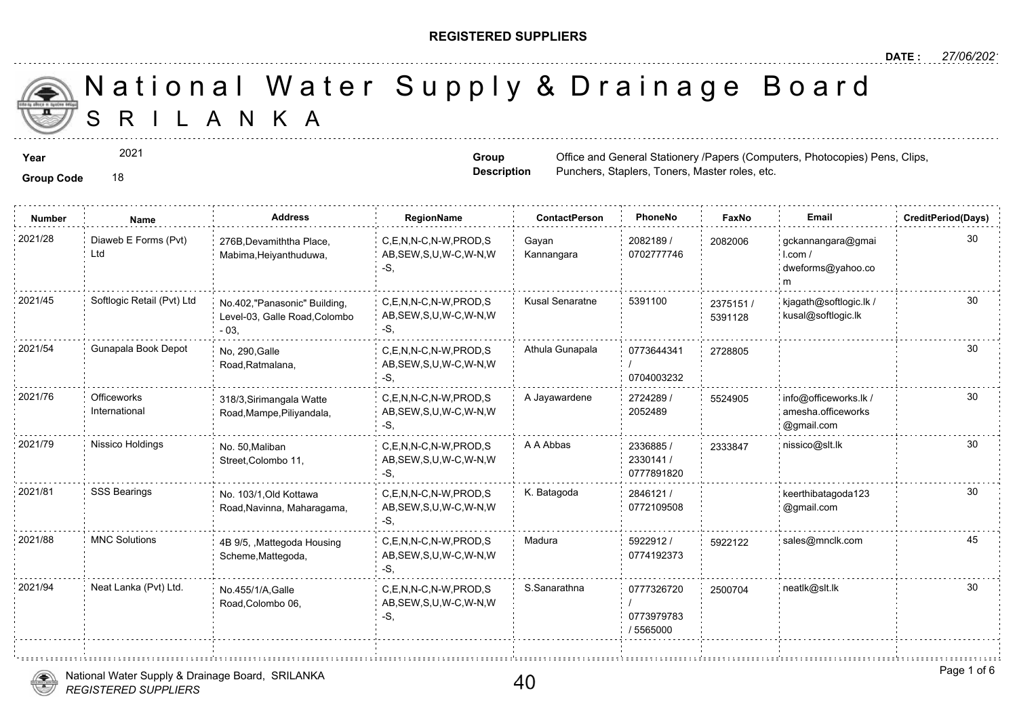#### **REGISTERED SUPPLIERS**

**Group Description**

Punchers, Staplers, Toners, Master ro

S R I L A N K A National Water Supply & Drainage

**Year**  $2021$  **Propose and General Stationery /Papers** (Computers, Photocopies) **Computers, Photocopies Computers, Computers, Photocopies** 

2021

| <b>Number</b> | Name                         | <b>Address</b>                                                         | RegionName                                                  | <b>ContactPerson</b>   | PhoneNo                               | Fax              |
|---------------|------------------------------|------------------------------------------------------------------------|-------------------------------------------------------------|------------------------|---------------------------------------|------------------|
| 2021/28       | Diaweb E Forms (Pvt)<br>Ltd  | 276B, Devamiththa Place,<br>Mabima, Heiyanthuduwa,                     | C.E.N.N-C.N-W.PROD.S<br>AB, SEW, S, U, W-C, W-N, W<br>-S.   | Gayan<br>Kannangara    | 2082189 /<br>0702777746               | 208200           |
| 2021/45       | Softlogic Retail (Pvt) Ltd   | No.402,"Panasonic" Building,<br>Level-03, Galle Road, Colombo<br>$-03$ | C,E,N,N-C,N-W,PROD,S<br>AB, SEW, S, U, W-C, W-N, W<br>-S.   | <b>Kusal Senaratne</b> | 5391100                               | 237515<br>539112 |
| 2021/54       | Gunapala Book Depot          | No, 290, Galle<br>Road, Ratmalana,                                     | C.E.N.N-C.N-W.PROD.S<br>AB, SEW, S, U, W-C, W-N, W<br>-S.   | Athula Gunapala        | 0773644341<br>0704003232              | 272880           |
| 2021/76       | Officeworks<br>International | 318/3, Sirimangala Watte<br>Road, Mampe, Piliyandala,                  | C.E.N.N-C.N-W.PROD.S<br>AB, SEW, S, U, W-C, W-N, W<br>-S.   | A Jayawardene          | 2724289/<br>2052489                   | 552490           |
| 2021/79       | Nissico Holdings             | No. 50, Maliban<br>Street, Colombo 11,                                 | C,E,N,N-C,N-W,PROD,S<br>AB, SEW, S, U, W-C, W-N, W<br>-S.   | A A Abbas              | 2336885 /<br>2330141/<br>0777891820   | 233384           |
| 2021/81       | SSS Bearings                 | No. 103/1, Old Kottawa<br>Road, Navinna, Maharagama,                   | C,E,N,N-C,N-W,PROD,S<br>AB, SEW, S, U, W-C, W-N, W<br>-S.   | K. Batagoda            | 2846121 /<br>0772109508               |                  |
| 2021/88       | <b>MNC Solutions</b>         | 4B 9/5, , Mattegoda Housing<br>Scheme, Mattegoda,                      | C,E,N,N-C,N-W,PROD,S<br>AB, SEW, S, U, W-C, W-N, W<br>-S.   | Madura                 | 5922912/<br>0774192373                | 592212           |
| 2021/94       | Neat Lanka (Pvt) Ltd.        | No.455/1/A, Galle<br>Road, Colombo 06,                                 | C.E.N.N-C.N-W.PROD.S<br>AB, SEW, S, U, W-C, W-N, W<br>$-S,$ | S.Sanarathna           | 0777326720<br>0773979783<br>/ 5565000 | 250070           |
|               |                              |                                                                        |                                                             |                        |                                       |                  |



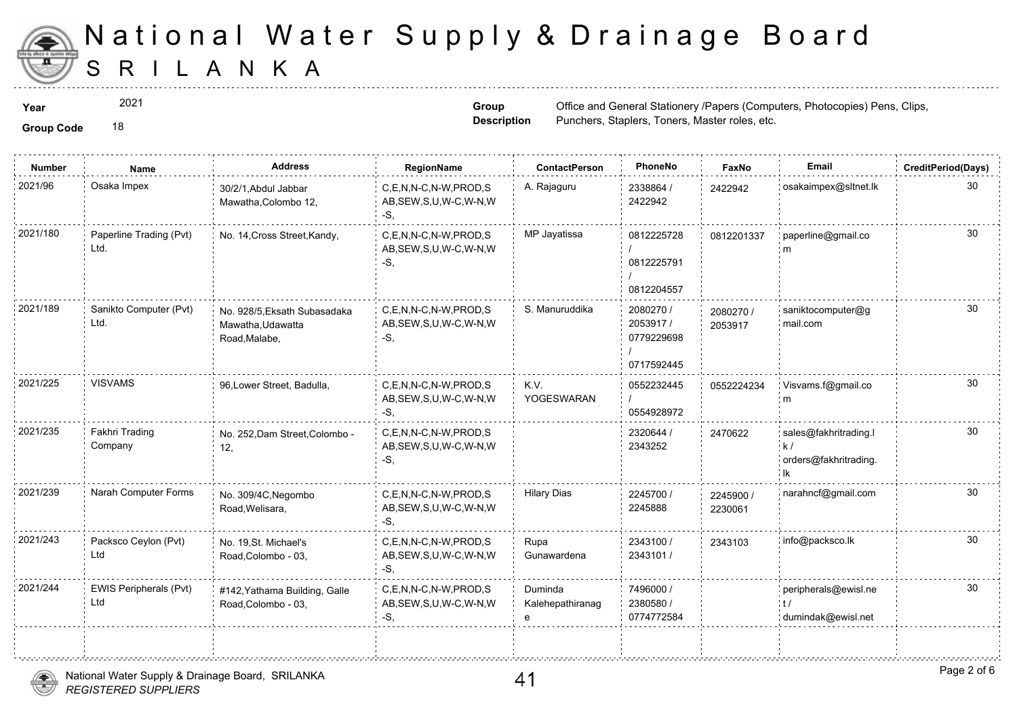

2021

**Group Code** 18

**Group Description**

**Year**  $2021$  **Propose and General Stationery /Papers** (Computers, Papers (Computers, Papers, Photocopies) Pens, Clips, Papers Punchers, Staplers, Toners, Master ro

| <b>Group Code</b> |  |
|-------------------|--|
|                   |  |

| <b>Number</b> | <b>Name</b>                     | <b>Address</b>                                                     | RegionName                                                   | <b>ContactPerson</b>             | PhoneNo                                           | Faxl             |
|---------------|---------------------------------|--------------------------------------------------------------------|--------------------------------------------------------------|----------------------------------|---------------------------------------------------|------------------|
| 2021/96       | Osaka Impex                     | 30/2/1, Abdul Jabbar<br>Mawatha, Colombo 12,                       | C,E,N,N-C,N-W,PROD,S<br>AB, SEW, S, U, W-C, W-N, W<br>$-S$ . | A. Rajaguru                      | 2338864 /<br>2422942                              | 242294           |
| 2021/180      | Paperline Trading (Pvt)<br>Ltd. | No. 14, Cross Street, Kandy,                                       | C,E,N,N-C,N-W,PROD,S<br>AB, SEW, S, U, W-C, W-N, W<br>$-S$ . | MP Jayatissa                     | 0812225728<br>0812225791<br>0812204557            | 081220           |
| 2021/189      | Sanikto Computer (Pvt)<br>Ltd.  | No. 928/5, Eksath Subasadaka<br>Mawatha, Udawatta<br>Road, Malabe, | C,E,N,N-C,N-W,PROD,S<br>AB, SEW, S, U, W-C, W-N, W<br>-S,    | S. Manuruddika                   | 2080270 /<br>2053917/<br>0779229698<br>0717592445 | 208027<br>205391 |
| 2021/225      | <b>VISVAMS</b>                  | 96, Lower Street, Badulla,                                         | C,E,N,N-C,N-W,PROD,S<br>AB, SEW, S, U, W-C, W-N, W<br>$-S,$  | K.V.<br>YOGESWARAN               | 0552232445<br>0554928972                          | 055222           |
| 2021/235      | Fakhri Trading<br>Company       | No. 252, Dam Street, Colombo -<br>12,                              | C,E,N,N-C,N-W,PROD,S<br>AB, SEW, S, U, W-C, W-N, W<br>$-S$ . |                                  | 2320644 /<br>2343252                              | 247062           |
| 2021/239      | Narah Computer Forms            | No. 309/4C, Negombo<br>Road, Welisara,                             | C,E,N,N-C,N-W,PROD,S<br>AB, SEW, S, U, W-C, W-N, W<br>-S.    | <b>Hilary Dias</b>               | 2245700 /<br>2245888                              | 224590<br>223006 |
| 2021/243      | Packsco Ceylon (Pvt)<br>Ltd     | No. 19, St. Michael's<br>Road, Colombo - 03,                       | C.E.N.N-C.N-W.PROD.S<br>AB, SEW, S, U, W-C, W-N, W<br>$-S$ , | Rupa<br>Gunawardena              | 2343100 /<br>2343101 /                            | 234310           |
| 2021/244      | EWIS Peripherals (Pvt)<br>Ltd   | #142, Yathama Building, Galle<br>Road, Colombo - 03,               | C,E,N,N-C,N-W,PROD,S<br>AB, SEW, S, U, W-C, W-N, W<br>-S,    | Duminda<br>Kalehepathiranag<br>e | 7496000 /<br>2380580 /<br>0774772584              |                  |
|               |                                 |                                                                    |                                                              |                                  |                                                   |                  |

÷.

. . . . . . . . . . <del>.</del> . . . . . . . .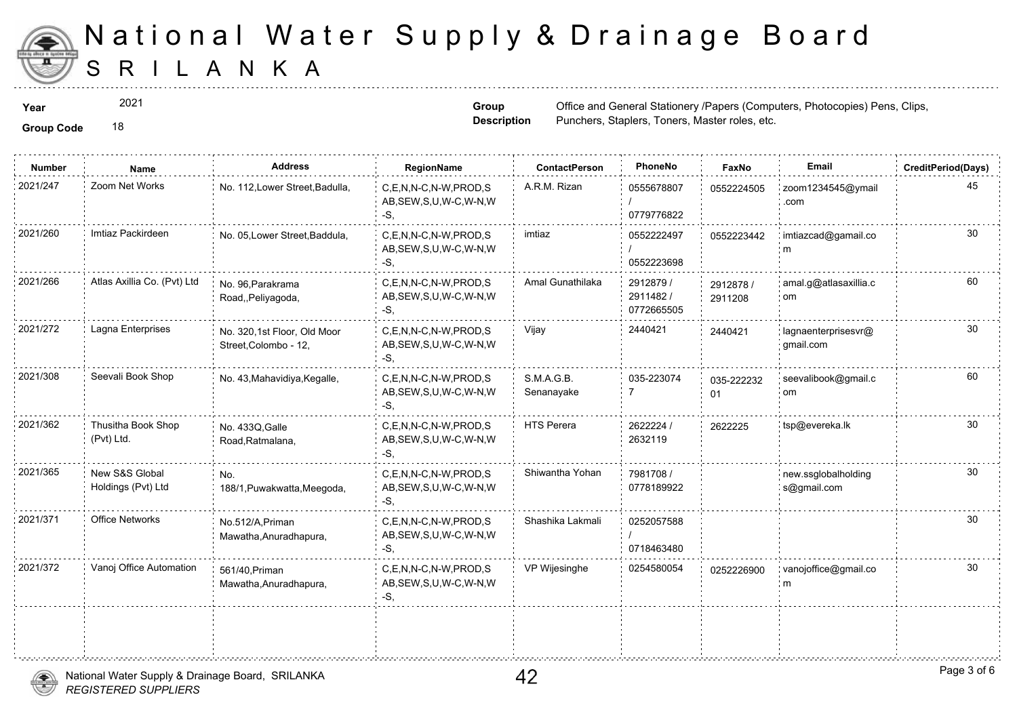

2021

**Group Description**

**Year**  $2021$  **Propose and General Stationery /Papers** (Computers, Papers (Computers, Papers, Photocopies) Pens, Clips, Papers Punchers, Staplers, Toners, Master ro

| <b>Number</b> | Name                                 | <b>Address</b>                                       | RegionName                                                   | <b>ContactPerson</b>     | PhoneNo                             | Fax              |
|---------------|--------------------------------------|------------------------------------------------------|--------------------------------------------------------------|--------------------------|-------------------------------------|------------------|
| 2021/247      | Zoom Net Works                       | No. 112, Lower Street, Badulla,                      | C,E,N,N-C,N-W,PROD,S<br>AB, SEW, S, U, W-C, W-N, W<br>$-S$ . | A.R.M. Rizan             | 0555678807<br>0779776822            | 055222           |
| 2021/260      | Imtiaz Packirdeen                    | No. 05, Lower Street, Baddula,                       | C.E.N.N-C.N-W.PROD.S<br>AB, SEW, S, U, W-C, W-N, W<br>-S,    | imtiaz                   | 0552222497<br>0552223698            | 055222           |
| 2021/266      | Atlas Axillia Co. (Pvt) Ltd          | No. 96, Parakrama<br>Road, Peliyagoda,               | C,E,N,N-C,N-W,PROD,S<br>AB, SEW, S, U, W-C, W-N, W<br>-S,    | Amal Gunathilaka         | 2912879 /<br>2911482/<br>0772665505 | 291287<br>291120 |
| 2021/272      | Lagna Enterprises                    | No. 320,1st Floor, Old Moor<br>Street, Colombo - 12, | C.E.N.N-C.N-W.PROD.S<br>AB, SEW, S, U, W-C, W-N, W<br>-S,    | Vijay                    | 2440421                             | 244042           |
| 2021/308      | Seevali Book Shop                    | No. 43, Mahavidiya, Kegalle,                         | C,E,N,N-C,N-W,PROD,S<br>AB, SEW, S, U, W-C, W-N, W<br>-S.    | S.M.A.G.B.<br>Senanayake | 035-223074                          | 035-22<br>01     |
| 2021/362      | Thusitha Book Shop<br>(Pvt) Ltd.     | No. 433Q, Galle<br>Road, Ratmalana,                  | C.E.N.N-C.N-W.PROD.S<br>AB, SEW, S, U, W-C, W-N, W<br>-S,    | <b>HTS Perera</b>        | 2622224 /<br>2632119                | 262222           |
| 2021/365      | New S&S Global<br>Holdings (Pvt) Ltd | No.<br>188/1, Puwakwatta, Meegoda,                   | C,E,N,N-C,N-W,PROD,S<br>AB, SEW, S, U, W-C, W-N, W<br>-S.    | Shiwantha Yohan          | 7981708 /<br>0778189922             |                  |
| 2021/371      | <b>Office Networks</b>               | No.512/A, Priman<br>Mawatha, Anuradhapura,           | C.E.N.N-C.N-W.PROD.S<br>AB, SEW, S, U, W-C, W-N, W<br>-S,    | Shashika Lakmali         | 0252057588<br>0718463480            |                  |
| 2021/372      | Vanoj Office Automation              | 561/40, Priman<br>Mawatha, Anuradhapura,             | C,E,N,N-C,N-W,PROD,S<br>AB, SEW, S, U, W-C, W-N, W<br>-S,    | VP Wijesinghe            | 0254580054                          | 025222           |
|               |                                      |                                                      |                                                              |                          |                                     |                  |
|               |                                      |                                                      |                                                              |                          |                                     |                  |

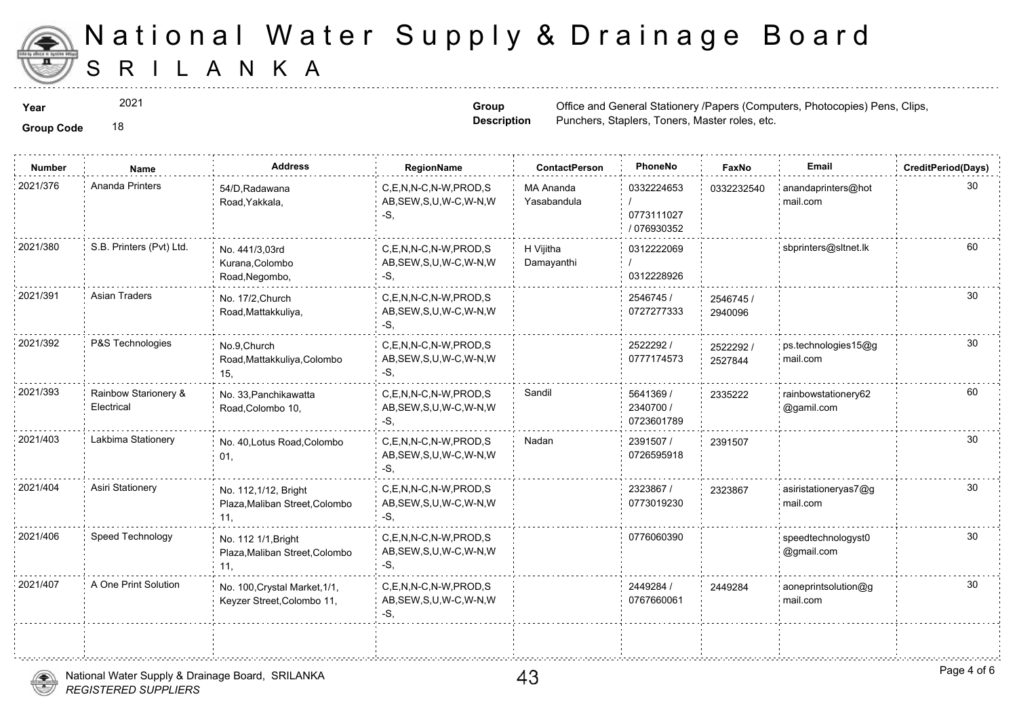

2021

**Group Description**

**Year**  $2021$  **Propose and General Stationery /Papers** (Computers, Papers (Computers, Papers, Photocopies) Pens, Clips, Papers Punchers, Staplers, Toners, Master ro

| <b>Number</b> | Name                               | <b>Address</b>                                                | RegionName                                                   | <b>ContactPerson</b>            | PhoneNo                                 | Fax              |
|---------------|------------------------------------|---------------------------------------------------------------|--------------------------------------------------------------|---------------------------------|-----------------------------------------|------------------|
| 2021/376      | Ananda Printers                    | 54/D, Radawana<br>Road, Yakkala,                              | C,E,N,N-C,N-W,PROD,S<br>AB, SEW, S, U, W-C, W-N, W<br>$-S$ . | <b>MA Ananda</b><br>Yasabandula | 0332224653<br>0773111027<br>/ 076930352 | 033223           |
| 2021/380      | S.B. Printers (Pvt) Ltd.           | No. 441/3,03rd<br>Kurana, Colombo<br>Road, Negombo,           | C,E,N,N-C,N-W,PROD,S<br>AB, SEW, S, U, W-C, W-N, W<br>-S,    | H Vijitha<br>Damayanthi         | 0312222069<br>0312228926                |                  |
| 2021/391      | <b>Asian Traders</b>               | No. 17/2, Church<br>Road, Mattakkuliya,                       | C,E,N,N-C,N-W,PROD,S<br>AB, SEW, S, U, W-C, W-N, W<br>-S.    |                                 | 2546745 /<br>0727277333                 | 254674<br>294009 |
| 2021/392      | P&S Technologies                   | No.9, Church<br>Road, Mattakkuliya, Colombo<br>15.            | C.E.N.N-C.N-W.PROD.S<br>AB, SEW, S, U, W-C, W-N, W<br>-S,    |                                 | 2522292 /<br>0777174573                 | 252229<br>252784 |
| 2021/393      | Rainbow Starionery &<br>Electrical | No. 33, Panchikawatta<br>Road, Colombo 10,                    | C.E.N.N-C.N-W.PROD.S<br>AB, SEW, S, U, W-C, W-N, W<br>-S,    | Sandil                          | 5641369 /<br>2340700 /<br>0723601789    | 233522           |
| 2021/403      | Lakbima Stationery                 | No. 40, Lotus Road, Colombo<br>01,                            | C,E,N,N-C,N-W,PROD,S<br>AB, SEW, S, U, W-C, W-N, W<br>-S.    | Nadan                           | 2391507 /<br>0726595918                 | 239150           |
| 2021/404      | Asiri Stationery                   | No. 112,1/12, Bright<br>Plaza, Maliban Street, Colombo<br>11, | C,E,N,N-C,N-W,PROD,S<br>AB, SEW, S, U, W-C, W-N, W<br>$-S,$  |                                 | 2323867 /<br>0773019230                 | 232386           |
| 2021/406      | Speed Technology                   | No. 112 1/1, Bright<br>Plaza, Maliban Street, Colombo<br>11,  | C.E.N.N-C.N-W.PROD.S<br>AB, SEW, S, U, W-C, W-N, W<br>-S,    |                                 | 0776060390                              |                  |
| 2021/407      | A One Print Solution               | No. 100, Crystal Market, 1/1,<br>Keyzer Street, Colombo 11,   | C,E,N,N-C,N-W,PROD,S<br>AB, SEW, S, U, W-C, W-N, W<br>-S,    |                                 | 2449284 /<br>0767660061                 | 244928           |
|               |                                    |                                                               |                                                              |                                 |                                         |                  |

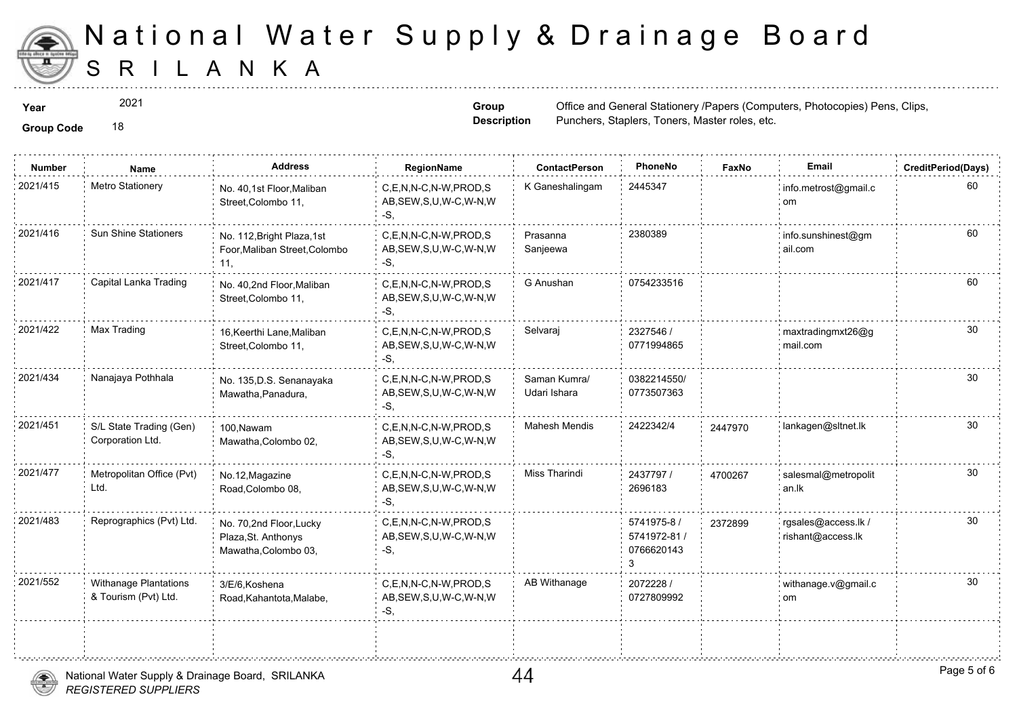

2021

**Group Code** 18

**Group Description**

**Year**  $2021$  **Propose and General Stationery /Papers** (Computers, Papers (Computers, Papers, Photocopies) Pens, Clips, Papers Punchers, Staplers, Toners, Master ro

| <b>Group Code</b> |  |
|-------------------|--|

| <b>Number</b> | Name                                                 | <b>Address</b>                                                         | RegionName                                                | <b>ContactPerson</b>         | PhoneNo                                   | Faxl   |
|---------------|------------------------------------------------------|------------------------------------------------------------------------|-----------------------------------------------------------|------------------------------|-------------------------------------------|--------|
| 2021/415      | Metro Stationery                                     | No. 40,1st Floor, Maliban<br>Street, Colombo 11,                       | C,E,N,N-C,N-W,PROD,S<br>AB, SEW, S, U, W-C, W-N, W<br>-S. | K Ganeshalingam              | 2445347                                   |        |
| 2021/416      | Sun Shine Stationers                                 | No. 112, Bright Plaza, 1st<br>Foor, Maliban Street, Colombo<br>11,     | C.E.N.N-C.N-W.PROD.S<br>AB, SEW, S, U, W-C, W-N, W<br>-S, | Prasanna<br>Sanjeewa         | 2380389                                   |        |
| 2021/417      | Capital Lanka Trading                                | No. 40,2nd Floor, Maliban<br>Street, Colombo 11,                       | C,E,N,N-C,N-W,PROD,S<br>AB, SEW, S, U, W-C, W-N, W<br>-S. | G Anushan                    | 0754233516                                |        |
| 2021/422      | Max Trading                                          | 16, Keerthi Lane, Maliban<br>Street, Colombo 11,                       | C,E,N,N-C,N-W,PROD,S<br>AB, SEW, S, U, W-C, W-N, W<br>-S. | Selvaraj                     | 2327546 /<br>0771994865                   |        |
| 2021/434      | Nanajaya Pothhala                                    | No. 135, D.S. Senanayaka<br>Mawatha, Panadura,                         | C,E,N,N-C,N-W,PROD,S<br>AB, SEW, S, U, W-C, W-N, W<br>-S, | Saman Kumra/<br>Udari Ishara | 0382214550/<br>0773507363                 |        |
| 2021/451      | S/L State Trading (Gen)<br>Corporation Ltd.          | 100.Nawam<br>Mawatha, Colombo 02,                                      | C,E,N,N-C,N-W,PROD,S<br>AB, SEW, S, U, W-C, W-N, W<br>-S. | <b>Mahesh Mendis</b>         | 2422342/4                                 | 244797 |
| 2021/477      | Metropolitan Office (Pvt)<br>Ltd.                    | No.12, Magazine<br>Road, Colombo 08,                                   | C.E.N.N-C.N-W.PROD.S<br>AB, SEW, S, U, W-C, W-N, W<br>-S, | Miss Tharindi                | 2437797 /<br>2696183                      | 470026 |
| 2021/483      | Reprographics (Pvt) Ltd.                             | No. 70,2nd Floor, Lucky<br>Plaza, St. Anthonys<br>Mawatha, Colombo 03, | C.E.N.N-C.N-W.PROD.S<br>AB, SEW, S, U, W-C, W-N, W<br>-S. |                              | 5741975-8 /<br>5741972-81 /<br>0766620143 | 237289 |
| 2021/552      | <b>Withanage Plantations</b><br>& Tourism (Pvt) Ltd. | 3/E/6, Koshena<br>Road, Kahantota, Malabe,                             | C.E.N.N-C.N-W.PROD.S<br>AB, SEW, S, U, W-C, W-N, W<br>-S. | AB Withanage                 | 2072228 /<br>0727809992                   |        |
|               |                                                      |                                                                        |                                                           |                              |                                           |        |